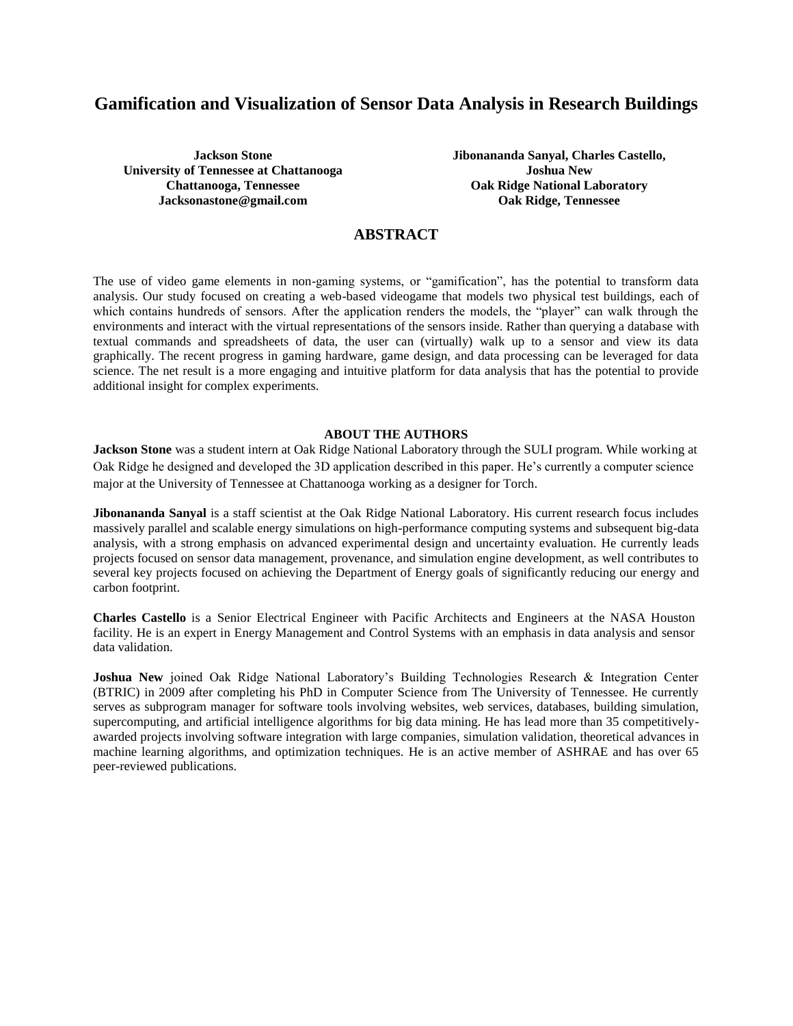# **Gamification and Visualization of Sensor Data Analysis in Research Buildings**

**Jackson Stone University of Tennessee at Chattanooga Chattanooga, Tennessee Jacksonastone@gmail.com**

**Jibonananda Sanyal, Charles Castello, Joshua New Oak Ridge National Laboratory Oak Ridge, Tennessee**

# **ABSTRACT**

The use of video game elements in non-gaming systems, or "gamification", has the potential to transform data analysis. Our study focused on creating a web-based videogame that models two physical test buildings, each of which contains hundreds of sensors. After the application renders the models, the "player" can walk through the environments and interact with the virtual representations of the sensors inside. Rather than querying a database with textual commands and spreadsheets of data, the user can (virtually) walk up to a sensor and view its data graphically. The recent progress in gaming hardware, game design, and data processing can be leveraged for data science. The net result is a more engaging and intuitive platform for data analysis that has the potential to provide additional insight for complex experiments.

### **ABOUT THE AUTHORS**

**Jackson Stone** was a student intern at Oak Ridge National Laboratory through the SULI program. While working at Oak Ridge he designed and developed the 3D application described in this paper. He's currently a computer science major at the University of Tennessee at Chattanooga working as a designer for Torch.

**Jibonananda Sanyal** is a staff scientist at the Oak Ridge National Laboratory. His current research focus includes massively parallel and scalable energy simulations on high-performance computing systems and subsequent big-data analysis, with a strong emphasis on advanced experimental design and uncertainty evaluation. He currently leads projects focused on sensor data management, provenance, and simulation engine development, as well contributes to several key projects focused on achieving the Department of Energy goals of significantly reducing our energy and carbon footprint.

**Charles Castello** is a Senior Electrical Engineer with Pacific Architects and Engineers at the NASA Houston facility. He is an expert in Energy Management and Control Systems with an emphasis in data analysis and sensor data validation.

**Joshua New** joined Oak Ridge National Laboratory's Building Technologies Research & Integration Center (BTRIC) in 2009 after completing his PhD in Computer Science from The University of Tennessee. He currently serves as subprogram manager for software tools involving websites, web services, databases, building simulation, supercomputing, and artificial intelligence algorithms for big data mining. He has lead more than 35 competitivelyawarded projects involving software integration with large companies, simulation validation, theoretical advances in machine learning algorithms, and optimization techniques. He is an active member of ASHRAE and has over 65 peer-reviewed publications.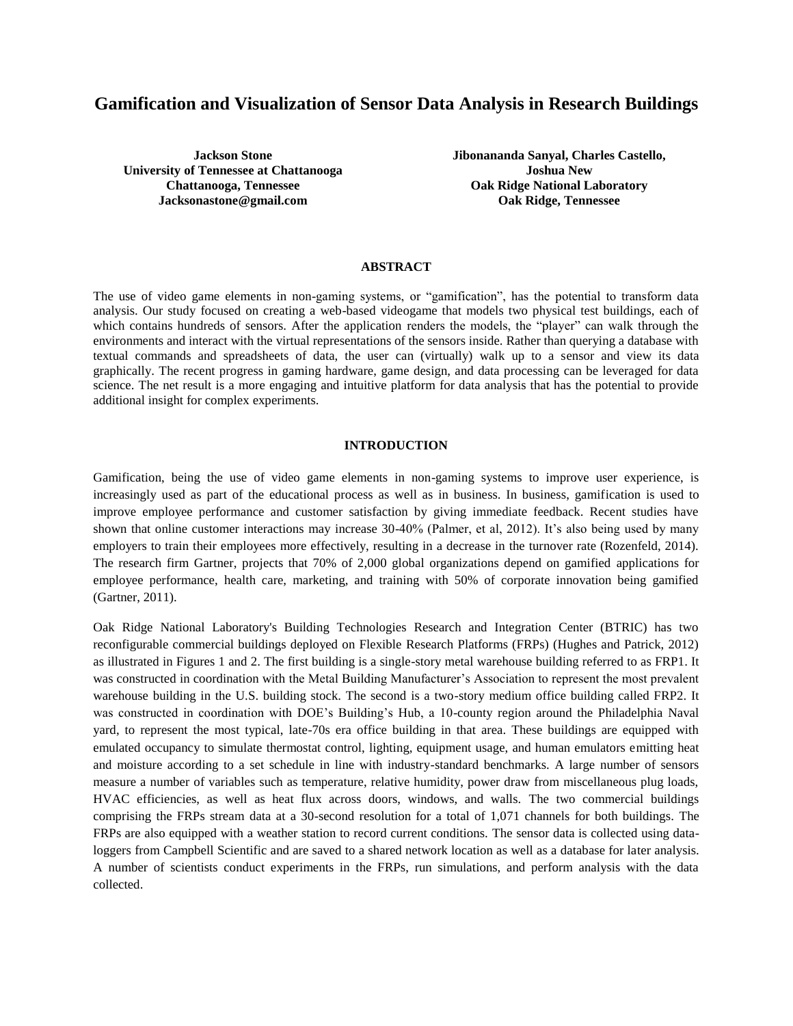# **Gamification and Visualization of Sensor Data Analysis in Research Buildings**

**Jackson Stone University of Tennessee at Chattanooga Chattanooga, Tennessee Jacksonastone@gmail.com**

**Jibonananda Sanyal, Charles Castello, Joshua New Oak Ridge National Laboratory Oak Ridge, Tennessee**

#### **ABSTRACT**

The use of video game elements in non-gaming systems, or "gamification", has the potential to transform data analysis. Our study focused on creating a web-based videogame that models two physical test buildings, each of which contains hundreds of sensors. After the application renders the models, the "player" can walk through the environments and interact with the virtual representations of the sensors inside. Rather than querying a database with textual commands and spreadsheets of data, the user can (virtually) walk up to a sensor and view its data graphically. The recent progress in gaming hardware, game design, and data processing can be leveraged for data science. The net result is a more engaging and intuitive platform for data analysis that has the potential to provide additional insight for complex experiments.

#### **INTRODUCTION**

Gamification, being the use of video game elements in non-gaming systems to improve user experience, is increasingly used as part of the educational process as well as in business. In business, gamification is used to improve employee performance and customer satisfaction by giving immediate feedback. Recent studies have shown that online customer interactions may increase 30-40% (Palmer, et al, 2012). It's also being used by many employers to train their employees more effectively, resulting in a decrease in the turnover rate (Rozenfeld, 2014). The research firm Gartner, projects that 70% of 2,000 global organizations depend on gamified applications for employee performance, health care, marketing, and training with 50% of corporate innovation being gamified (Gartner, 2011).

Oak Ridge National Laboratory's Building Technologies Research and Integration Center (BTRIC) has two reconfigurable commercial buildings deployed on Flexible Research Platforms (FRPs) (Hughes and Patrick, 2012) as illustrated in Figures 1 and 2. The first building is a single-story metal warehouse building referred to as FRP1. It was constructed in coordination with the Metal Building Manufacturer's Association to represent the most prevalent warehouse building in the U.S. building stock. The second is a two-story medium office building called FRP2. It was constructed in coordination with DOE's Building's Hub, a 10-county region around the Philadelphia Naval yard, to represent the most typical, late-70s era office building in that area. These buildings are equipped with emulated occupancy to simulate thermostat control, lighting, equipment usage, and human emulators emitting heat and moisture according to a set schedule in line with industry-standard benchmarks. A large number of sensors measure a number of variables such as temperature, relative humidity, power draw from miscellaneous plug loads, HVAC efficiencies, as well as heat flux across doors, windows, and walls. The two commercial buildings comprising the FRPs stream data at a 30-second resolution for a total of 1,071 channels for both buildings. The FRPs are also equipped with a weather station to record current conditions. The sensor data is collected using dataloggers from Campbell Scientific and are saved to a shared network location as well as a database for later analysis. A number of scientists conduct experiments in the FRPs, run simulations, and perform analysis with the data collected.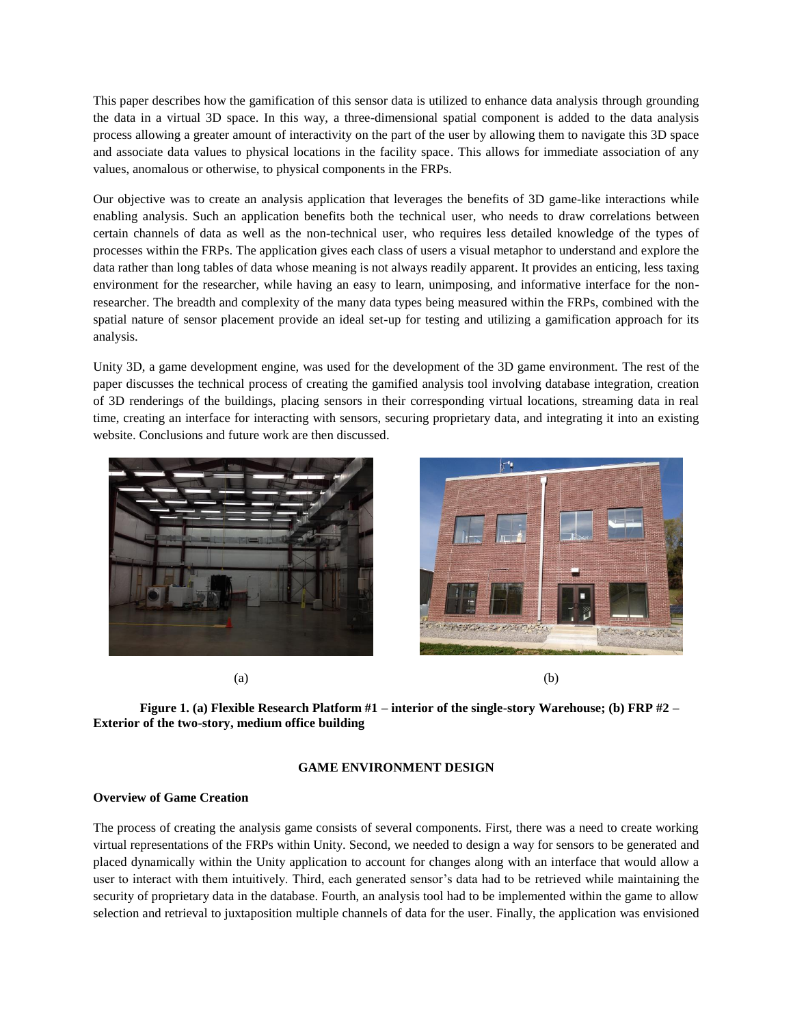This paper describes how the gamification of this sensor data is utilized to enhance data analysis through grounding the data in a virtual 3D space. In this way, a three-dimensional spatial component is added to the data analysis process allowing a greater amount of interactivity on the part of the user by allowing them to navigate this 3D space and associate data values to physical locations in the facility space. This allows for immediate association of any values, anomalous or otherwise, to physical components in the FRPs.

Our objective was to create an analysis application that leverages the benefits of 3D game-like interactions while enabling analysis. Such an application benefits both the technical user, who needs to draw correlations between certain channels of data as well as the non-technical user, who requires less detailed knowledge of the types of processes within the FRPs. The application gives each class of users a visual metaphor to understand and explore the data rather than long tables of data whose meaning is not always readily apparent. It provides an enticing, less taxing environment for the researcher, while having an easy to learn, unimposing, and informative interface for the nonresearcher. The breadth and complexity of the many data types being measured within the FRPs, combined with the spatial nature of sensor placement provide an ideal set-up for testing and utilizing a gamification approach for its analysis.

Unity 3D, a game development engine, was used for the development of the 3D game environment. The rest of the paper discusses the technical process of creating the gamified analysis tool involving database integration, creation of 3D renderings of the buildings, placing sensors in their corresponding virtual locations, streaming data in real time, creating an interface for interacting with sensors, securing proprietary data, and integrating it into an existing website. Conclusions and future work are then discussed.





 $(a)$  (b)

**Figure 1. (a) Flexible Research Platform #1 – interior of the single-story Warehouse; (b) FRP #2 – Exterior of the two-story, medium office building**

# **GAME ENVIRONMENT DESIGN**

# **Overview of Game Creation**

The process of creating the analysis game consists of several components. First, there was a need to create working virtual representations of the FRPs within Unity. Second, we needed to design a way for sensors to be generated and placed dynamically within the Unity application to account for changes along with an interface that would allow a user to interact with them intuitively. Third, each generated sensor's data had to be retrieved while maintaining the security of proprietary data in the database. Fourth, an analysis tool had to be implemented within the game to allow selection and retrieval to juxtaposition multiple channels of data for the user. Finally, the application was envisioned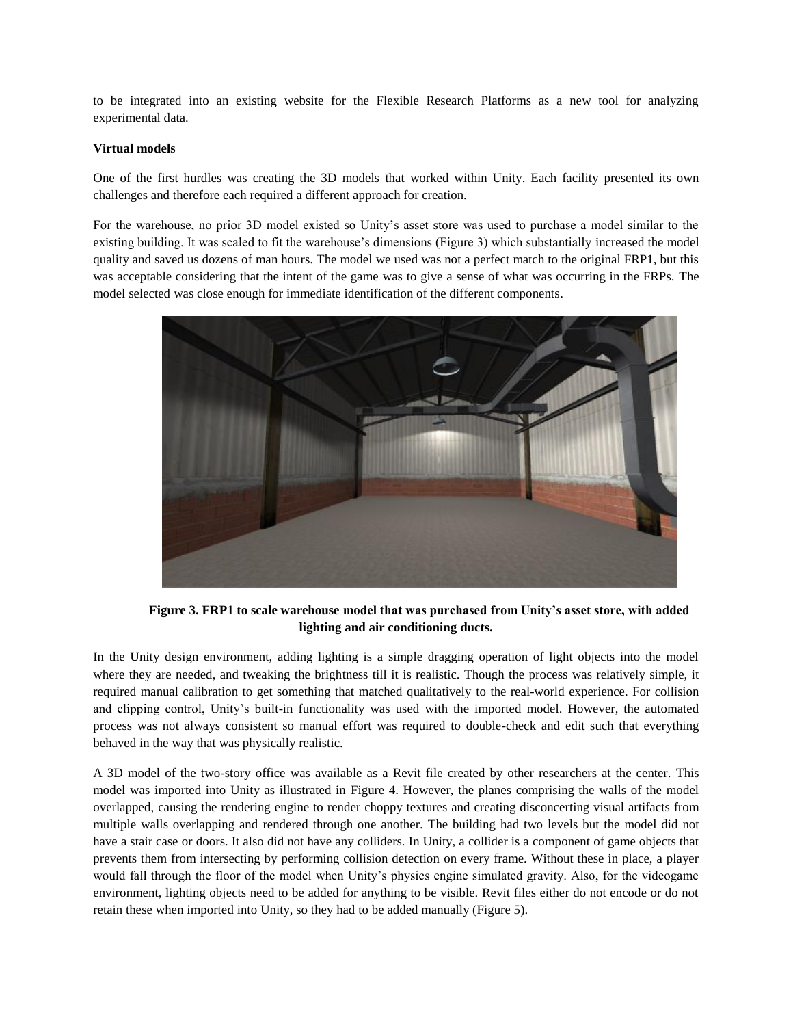to be integrated into an existing website for the Flexible Research Platforms as a new tool for analyzing experimental data.

## **Virtual models**

One of the first hurdles was creating the 3D models that worked within Unity. Each facility presented its own challenges and therefore each required a different approach for creation.

For the warehouse, no prior 3D model existed so Unity's asset store was used to purchase a model similar to the existing building. It was scaled to fit the warehouse's dimensions (Figure 3) which substantially increased the model quality and saved us dozens of man hours. The model we used was not a perfect match to the original FRP1, but this was acceptable considering that the intent of the game was to give a sense of what was occurring in the FRPs. The model selected was close enough for immediate identification of the different components.



**Figure 3. FRP1 to scale warehouse model that was purchased from Unity's asset store, with added lighting and air conditioning ducts.**

In the Unity design environment, adding lighting is a simple dragging operation of light objects into the model where they are needed, and tweaking the brightness till it is realistic. Though the process was relatively simple, it required manual calibration to get something that matched qualitatively to the real-world experience. For collision and clipping control, Unity's built-in functionality was used with the imported model. However, the automated process was not always consistent so manual effort was required to double-check and edit such that everything behaved in the way that was physically realistic.

A 3D model of the two-story office was available as a Revit file created by other researchers at the center. This model was imported into Unity as illustrated in Figure 4. However, the planes comprising the walls of the model overlapped, causing the rendering engine to render choppy textures and creating disconcerting visual artifacts from multiple walls overlapping and rendered through one another. The building had two levels but the model did not have a stair case or doors. It also did not have any colliders. In Unity, a collider is a component of game objects that prevents them from intersecting by performing collision detection on every frame. Without these in place, a player would fall through the floor of the model when Unity's physics engine simulated gravity. Also, for the videogame environment, lighting objects need to be added for anything to be visible. Revit files either do not encode or do not retain these when imported into Unity, so they had to be added manually (Figure 5).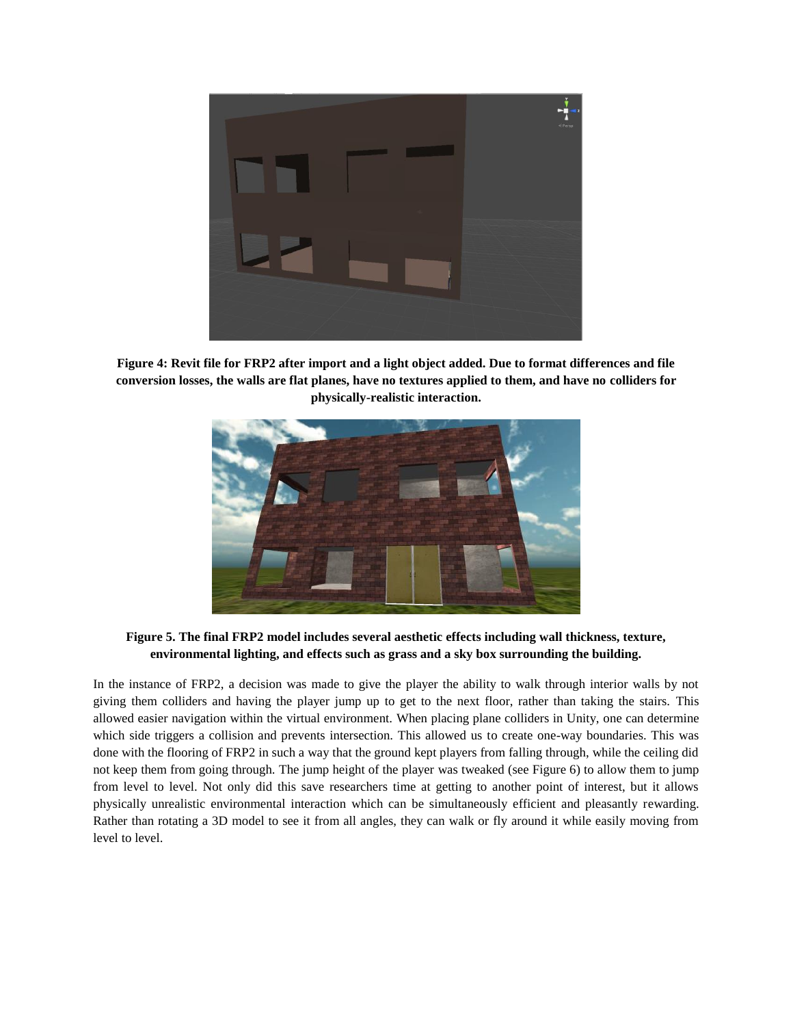

**Figure 4: Revit file for FRP2 after import and a light object added. Due to format differences and file conversion losses, the walls are flat planes, have no textures applied to them, and have no colliders for physically-realistic interaction.** 



**Figure 5. The final FRP2 model includes several aesthetic effects including wall thickness, texture, environmental lighting, and effects such as grass and a sky box surrounding the building.**

In the instance of FRP2, a decision was made to give the player the ability to walk through interior walls by not giving them colliders and having the player jump up to get to the next floor, rather than taking the stairs. This allowed easier navigation within the virtual environment. When placing plane colliders in Unity, one can determine which side triggers a collision and prevents intersection. This allowed us to create one-way boundaries. This was done with the flooring of FRP2 in such a way that the ground kept players from falling through, while the ceiling did not keep them from going through. The jump height of the player was tweaked (see Figure 6) to allow them to jump from level to level. Not only did this save researchers time at getting to another point of interest, but it allows physically unrealistic environmental interaction which can be simultaneously efficient and pleasantly rewarding. Rather than rotating a 3D model to see it from all angles, they can walk or fly around it while easily moving from level to level.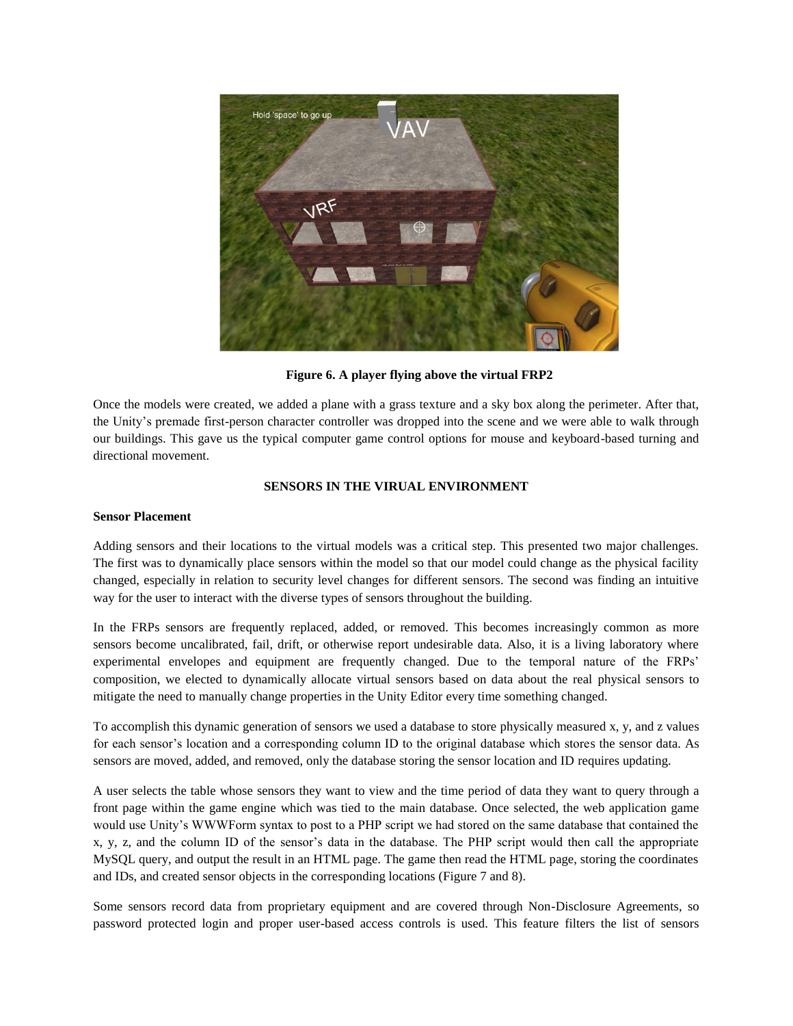

**Figure 6. A player flying above the virtual FRP2**

Once the models were created, we added a plane with a grass texture and a sky box along the perimeter. After that, the Unity's premade first-person character controller was dropped into the scene and we were able to walk through our buildings. This gave us the typical computer game control options for mouse and keyboard-based turning and directional movement.

# **SENSORS IN THE VIRUAL ENVIRONMENT**

#### **Sensor Placement**

Adding sensors and their locations to the virtual models was a critical step. This presented two major challenges. The first was to dynamically place sensors within the model so that our model could change as the physical facility changed, especially in relation to security level changes for different sensors. The second was finding an intuitive way for the user to interact with the diverse types of sensors throughout the building.

In the FRPs sensors are frequently replaced, added, or removed. This becomes increasingly common as more sensors become uncalibrated, fail, drift, or otherwise report undesirable data. Also, it is a living laboratory where experimental envelopes and equipment are frequently changed. Due to the temporal nature of the FRPs' composition, we elected to dynamically allocate virtual sensors based on data about the real physical sensors to mitigate the need to manually change properties in the Unity Editor every time something changed.

To accomplish this dynamic generation of sensors we used a database to store physically measured x, y, and z values for each sensor's location and a corresponding column ID to the original database which stores the sensor data. As sensors are moved, added, and removed, only the database storing the sensor location and ID requires updating.

A user selects the table whose sensors they want to view and the time period of data they want to query through a front page within the game engine which was tied to the main database. Once selected, the web application game would use Unity's WWWForm syntax to post to a PHP script we had stored on the same database that contained the x, y, z, and the column ID of the sensor's data in the database. The PHP script would then call the appropriate MySQL query, and output the result in an HTML page. The game then read the HTML page, storing the coordinates and IDs, and created sensor objects in the corresponding locations (Figure 7 and 8).

Some sensors record data from proprietary equipment and are covered through Non-Disclosure Agreements, so password protected login and proper user-based access controls is used. This feature filters the list of sensors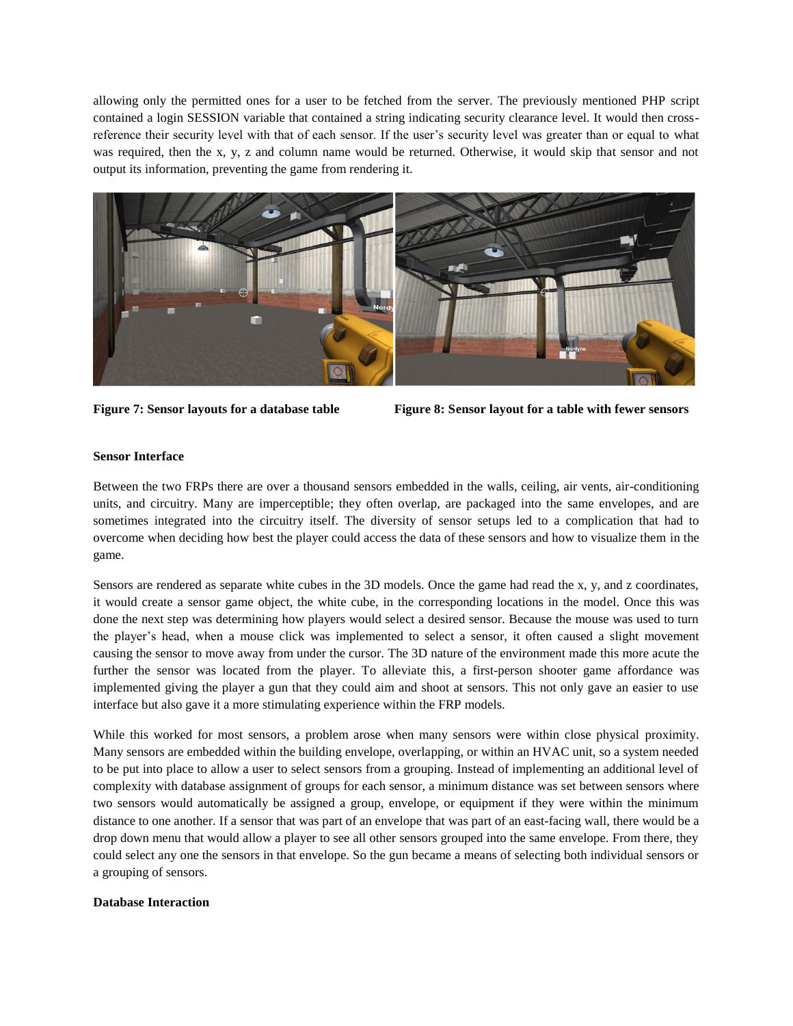allowing only the permitted ones for a user to be fetched from the server. The previously mentioned PHP script contained a login SESSION variable that contained a string indicating security clearance level. It would then crossreference their security level with that of each sensor. If the user's security level was greater than or equal to what was required, then the x, y, z and column name would be returned. Otherwise, it would skip that sensor and not output its information, preventing the game from rendering it.





# **Sensor Interface**

Between the two FRPs there are over a thousand sensors embedded in the walls, ceiling, air vents, air-conditioning units, and circuitry. Many are imperceptible; they often overlap, are packaged into the same envelopes, and are sometimes integrated into the circuitry itself. The diversity of sensor setups led to a complication that had to overcome when deciding how best the player could access the data of these sensors and how to visualize them in the game.

Sensors are rendered as separate white cubes in the 3D models. Once the game had read the x, y, and z coordinates, it would create a sensor game object, the white cube, in the corresponding locations in the model. Once this was done the next step was determining how players would select a desired sensor. Because the mouse was used to turn the player's head, when a mouse click was implemented to select a sensor, it often caused a slight movement causing the sensor to move away from under the cursor. The 3D nature of the environment made this more acute the further the sensor was located from the player. To alleviate this, a first-person shooter game affordance was implemented giving the player a gun that they could aim and shoot at sensors. This not only gave an easier to use interface but also gave it a more stimulating experience within the FRP models.

While this worked for most sensors, a problem arose when many sensors were within close physical proximity. Many sensors are embedded within the building envelope, overlapping, or within an HVAC unit, so a system needed to be put into place to allow a user to select sensors from a grouping. Instead of implementing an additional level of complexity with database assignment of groups for each sensor, a minimum distance was set between sensors where two sensors would automatically be assigned a group, envelope, or equipment if they were within the minimum distance to one another. If a sensor that was part of an envelope that was part of an east-facing wall, there would be a drop down menu that would allow a player to see all other sensors grouped into the same envelope. From there, they could select any one the sensors in that envelope. So the gun became a means of selecting both individual sensors or a grouping of sensors.

### **Database Interaction**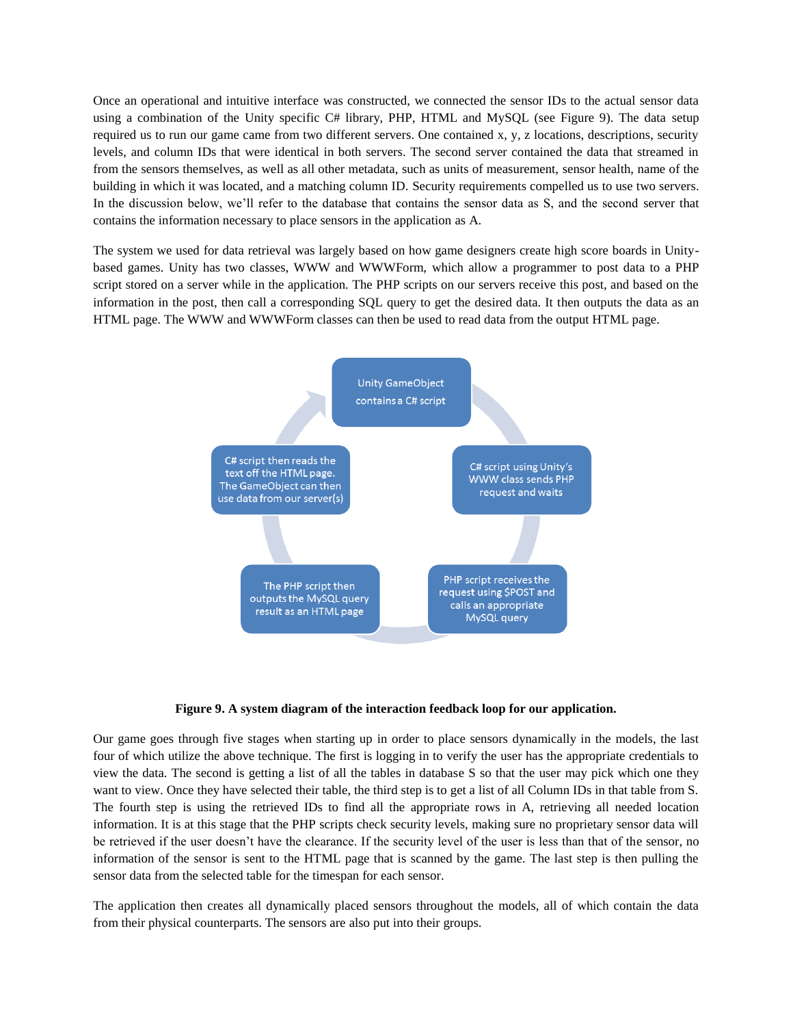Once an operational and intuitive interface was constructed, we connected the sensor IDs to the actual sensor data using a combination of the Unity specific C# library, PHP, HTML and MySQL (see Figure 9). The data setup required us to run our game came from two different servers. One contained x, y, z locations, descriptions, security levels, and column IDs that were identical in both servers. The second server contained the data that streamed in from the sensors themselves, as well as all other metadata, such as units of measurement, sensor health, name of the building in which it was located, and a matching column ID. Security requirements compelled us to use two servers. In the discussion below, we'll refer to the database that contains the sensor data as S, and the second server that contains the information necessary to place sensors in the application as A.

The system we used for data retrieval was largely based on how game designers create high score boards in Unitybased games. Unity has two classes, WWW and WWWForm, which allow a programmer to post data to a PHP script stored on a server while in the application. The PHP scripts on our servers receive this post, and based on the information in the post, then call a corresponding SQL query to get the desired data. It then outputs the data as an HTML page. The WWW and WWWForm classes can then be used to read data from the output HTML page.



**Figure 9. A system diagram of the interaction feedback loop for our application.**

Our game goes through five stages when starting up in order to place sensors dynamically in the models, the last four of which utilize the above technique. The first is logging in to verify the user has the appropriate credentials to view the data. The second is getting a list of all the tables in database S so that the user may pick which one they want to view. Once they have selected their table, the third step is to get a list of all Column IDs in that table from S. The fourth step is using the retrieved IDs to find all the appropriate rows in A, retrieving all needed location information. It is at this stage that the PHP scripts check security levels, making sure no proprietary sensor data will be retrieved if the user doesn't have the clearance. If the security level of the user is less than that of the sensor, no information of the sensor is sent to the HTML page that is scanned by the game. The last step is then pulling the sensor data from the selected table for the timespan for each sensor.

The application then creates all dynamically placed sensors throughout the models, all of which contain the data from their physical counterparts. The sensors are also put into their groups.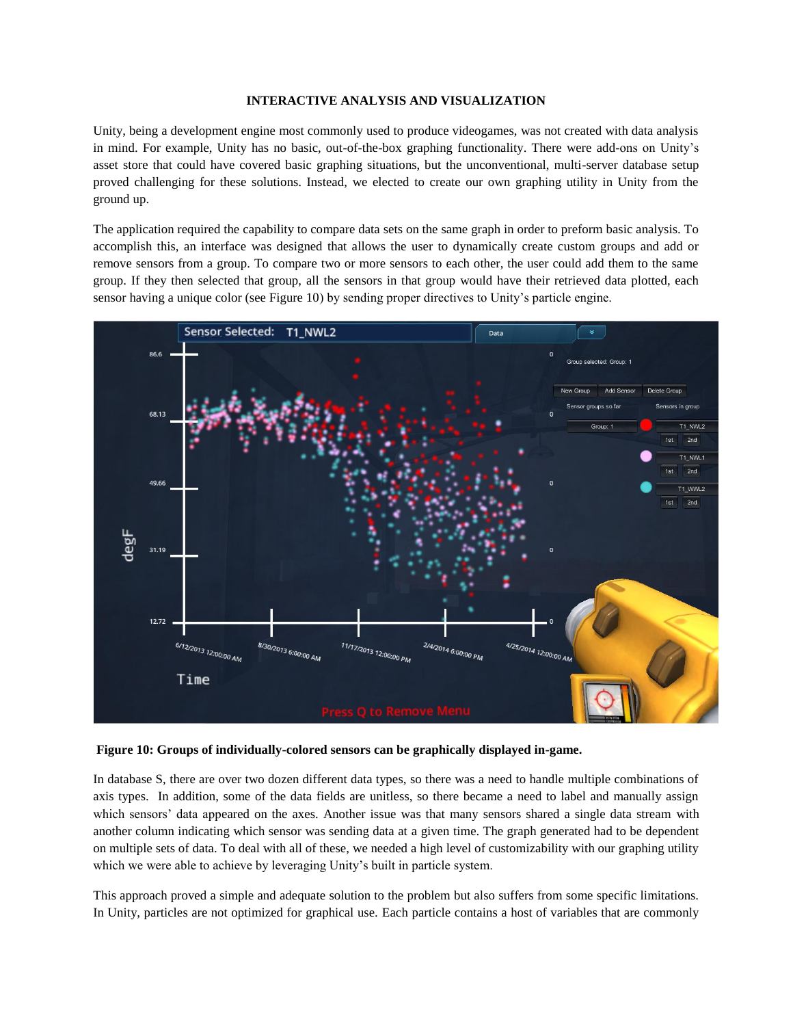# **INTERACTIVE ANALYSIS AND VISUALIZATION**

Unity, being a development engine most commonly used to produce videogames, was not created with data analysis in mind. For example, Unity has no basic, out-of-the-box graphing functionality. There were add-ons on Unity's asset store that could have covered basic graphing situations, but the unconventional, multi-server database setup proved challenging for these solutions. Instead, we elected to create our own graphing utility in Unity from the ground up.

The application required the capability to compare data sets on the same graph in order to preform basic analysis. To accomplish this, an interface was designed that allows the user to dynamically create custom groups and add or remove sensors from a group. To compare two or more sensors to each other, the user could add them to the same group. If they then selected that group, all the sensors in that group would have their retrieved data plotted, each sensor having a unique color (see Figure 10) by sending proper directives to Unity's particle engine.



**Figure 10: Groups of individually-colored sensors can be graphically displayed in-game.** 

In database S, there are over two dozen different data types, so there was a need to handle multiple combinations of axis types. In addition, some of the data fields are unitless, so there became a need to label and manually assign which sensors' data appeared on the axes. Another issue was that many sensors shared a single data stream with another column indicating which sensor was sending data at a given time. The graph generated had to be dependent on multiple sets of data. To deal with all of these, we needed a high level of customizability with our graphing utility which we were able to achieve by leveraging Unity's built in particle system.

This approach proved a simple and adequate solution to the problem but also suffers from some specific limitations. In Unity, particles are not optimized for graphical use. Each particle contains a host of variables that are commonly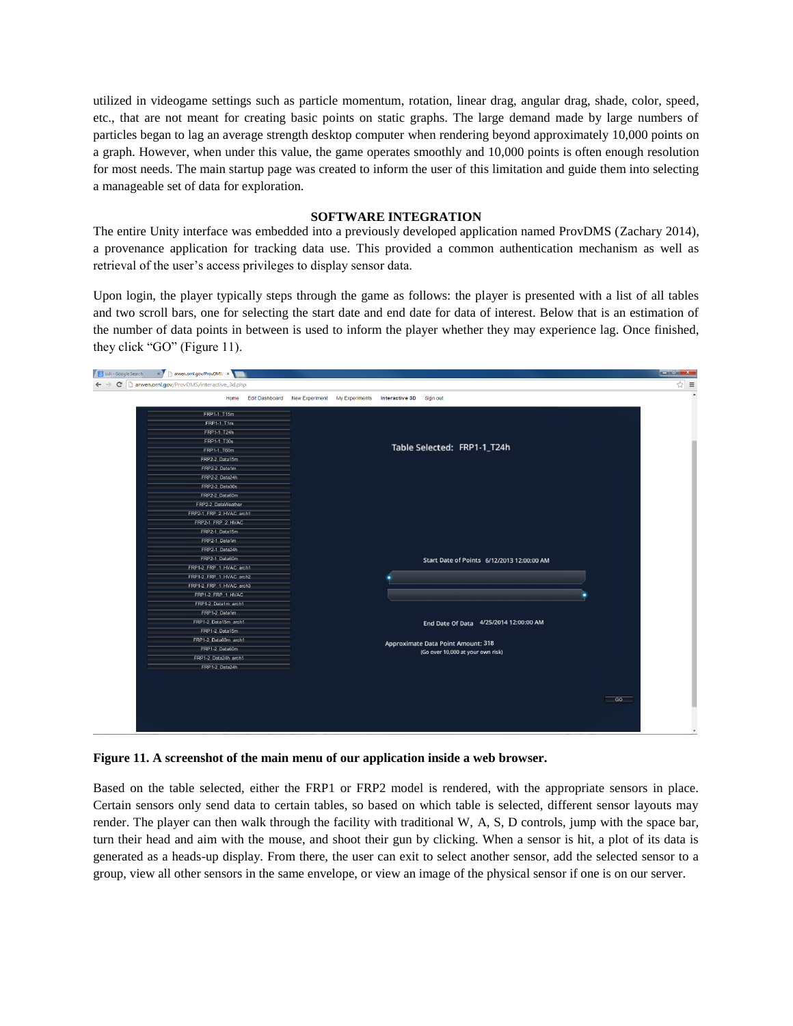utilized in videogame settings such as particle momentum, rotation, linear drag, angular drag, shade, color, speed, etc., that are not meant for creating basic points on static graphs. The large demand made by large numbers of particles began to lag an average strength desktop computer when rendering beyond approximately 10,000 points on a graph. However, when under this value, the game operates smoothly and 10,000 points is often enough resolution for most needs. The main startup page was created to inform the user of this limitation and guide them into selecting a manageable set of data for exploration.

## **SOFTWARE INTEGRATION**

The entire Unity interface was embedded into a previously developed application named ProvDMS (Zachary 2014), a provenance application for tracking data use. This provided a common authentication mechanism as well as retrieval of the user's access privileges to display sensor data.

Upon login, the player typically steps through the game as follows: the player is presented with a list of all tables and two scroll bars, one for selecting the start date and end date for data of interest. Below that is an estimation of the number of data points in between is used to inform the player whether they may experience lag. Once finished, they click "GO" (Figure 11).



**Figure 11. A screenshot of the main menu of our application inside a web browser.**

Based on the table selected, either the FRP1 or FRP2 model is rendered, with the appropriate sensors in place. Certain sensors only send data to certain tables, so based on which table is selected, different sensor layouts may render. The player can then walk through the facility with traditional W, A, S, D controls, jump with the space bar, turn their head and aim with the mouse, and shoot their gun by clicking. When a sensor is hit, a plot of its data is generated as a heads-up display. From there, the user can exit to select another sensor, add the selected sensor to a group, view all other sensors in the same envelope, or view an image of the physical sensor if one is on our server.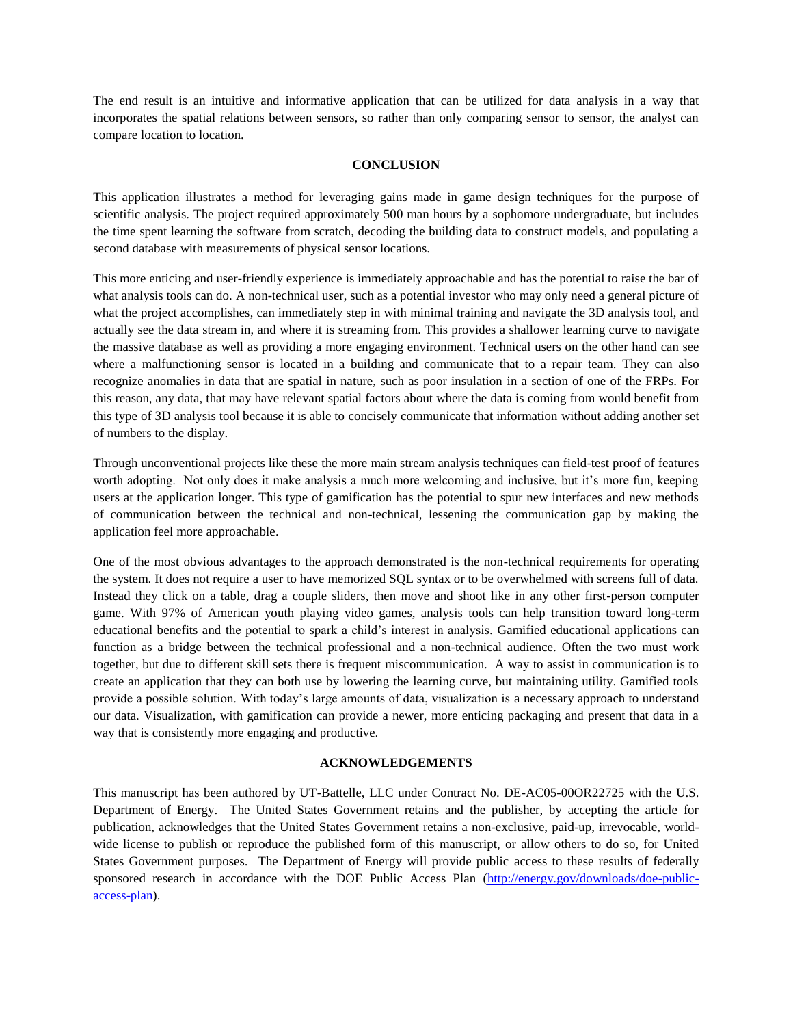The end result is an intuitive and informative application that can be utilized for data analysis in a way that incorporates the spatial relations between sensors, so rather than only comparing sensor to sensor, the analyst can compare location to location.

## **CONCLUSION**

This application illustrates a method for leveraging gains made in game design techniques for the purpose of scientific analysis. The project required approximately 500 man hours by a sophomore undergraduate, but includes the time spent learning the software from scratch, decoding the building data to construct models, and populating a second database with measurements of physical sensor locations.

This more enticing and user-friendly experience is immediately approachable and has the potential to raise the bar of what analysis tools can do. A non-technical user, such as a potential investor who may only need a general picture of what the project accomplishes, can immediately step in with minimal training and navigate the 3D analysis tool, and actually see the data stream in, and where it is streaming from. This provides a shallower learning curve to navigate the massive database as well as providing a more engaging environment. Technical users on the other hand can see where a malfunctioning sensor is located in a building and communicate that to a repair team. They can also recognize anomalies in data that are spatial in nature, such as poor insulation in a section of one of the FRPs. For this reason, any data, that may have relevant spatial factors about where the data is coming from would benefit from this type of 3D analysis tool because it is able to concisely communicate that information without adding another set of numbers to the display.

Through unconventional projects like these the more main stream analysis techniques can field-test proof of features worth adopting. Not only does it make analysis a much more welcoming and inclusive, but it's more fun, keeping users at the application longer. This type of gamification has the potential to spur new interfaces and new methods of communication between the technical and non-technical, lessening the communication gap by making the application feel more approachable.

One of the most obvious advantages to the approach demonstrated is the non-technical requirements for operating the system. It does not require a user to have memorized SQL syntax or to be overwhelmed with screens full of data. Instead they click on a table, drag a couple sliders, then move and shoot like in any other first-person computer game. With 97% of American youth playing video games, analysis tools can help transition toward long-term educational benefits and the potential to spark a child's interest in analysis. Gamified educational applications can function as a bridge between the technical professional and a non-technical audience. Often the two must work together, but due to different skill sets there is frequent miscommunication. A way to assist in communication is to create an application that they can both use by lowering the learning curve, but maintaining utility. Gamified tools provide a possible solution. With today's large amounts of data, visualization is a necessary approach to understand our data. Visualization, with gamification can provide a newer, more enticing packaging and present that data in a way that is consistently more engaging and productive.

### **ACKNOWLEDGEMENTS**

This manuscript has been authored by UT-Battelle, LLC under Contract No. DE-AC05-00OR22725 with the U.S. Department of Energy. The United States Government retains and the publisher, by accepting the article for publication, acknowledges that the United States Government retains a non-exclusive, paid-up, irrevocable, worldwide license to publish or reproduce the published form of this manuscript, or allow others to do so, for United States Government purposes. The Department of Energy will provide public access to these results of federally sponsored research in accordance with the DOE Public Access Plan [\(http://energy.gov/downloads/doe-public](http://energy.gov/downloads/doe-public-access-plan)[access-plan\)](http://energy.gov/downloads/doe-public-access-plan).